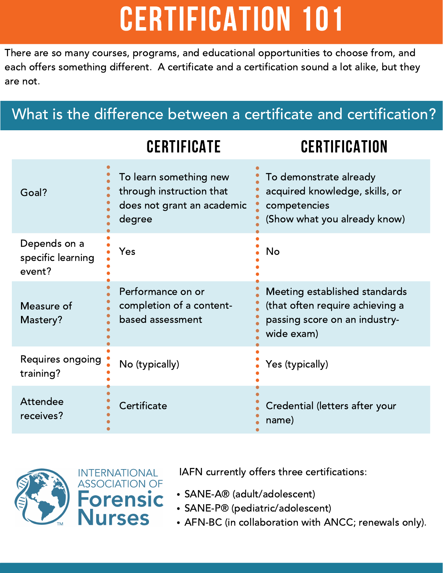# CERTIFICATION 101

There are so many courses, programs, and educational opportunities to choose from, and each offers something different. A certificate and a certification sound a lot alike, but they are not.

### What is the difference between a certificate and certification?

## CERTIFICATE CERTIFICATION

| Goal?                                       | To learn something new<br>through instruction that<br>does not grant an academic<br>degree | To demonstrate already<br>acquired knowledge, skills, or<br>competencies<br>(Show what you already know)        |
|---------------------------------------------|--------------------------------------------------------------------------------------------|-----------------------------------------------------------------------------------------------------------------|
| Depends on a<br>specific learning<br>event? | Yes                                                                                        | <b>No</b>                                                                                                       |
| Measure of<br>Mastery?                      | Performance on or<br>completion of a content-<br>based assessment                          | Meeting established standards<br>(that often require achieving a<br>passing score on an industry-<br>wide exam) |
| Requires ongoing<br>training?               | No (typically)                                                                             | Yes (typically)                                                                                                 |
| <b>Attendee</b><br>receives?                | Certificate                                                                                | Credential (letters after your<br>name)                                                                         |



IAFN currently offers three certifications:

- SANE-A® (adult/adolescent)
- SANE-P® (pediatric/adolescent)
- AFN-BC (in collaboration with ANCC; renewals only).